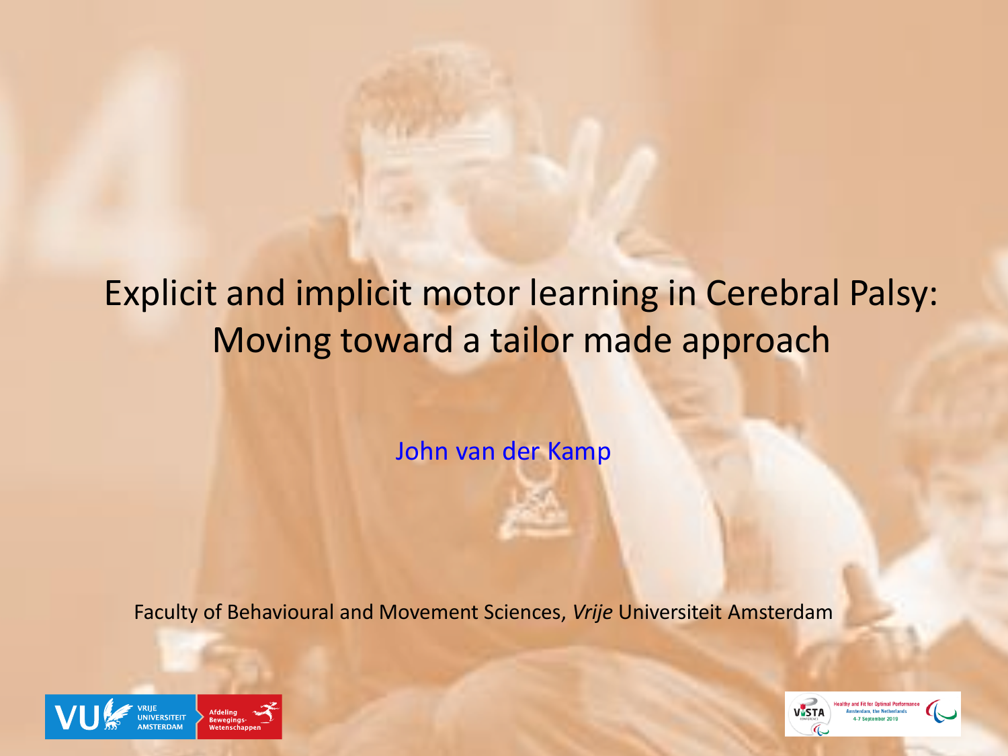# Explicit and implicit motor learning in Cerebral Palsy: Moving toward a tailor made approach

John van der Kamp

Faculty of Behavioural and Movement Sciences, *Vrije* Universiteit Amsterdam



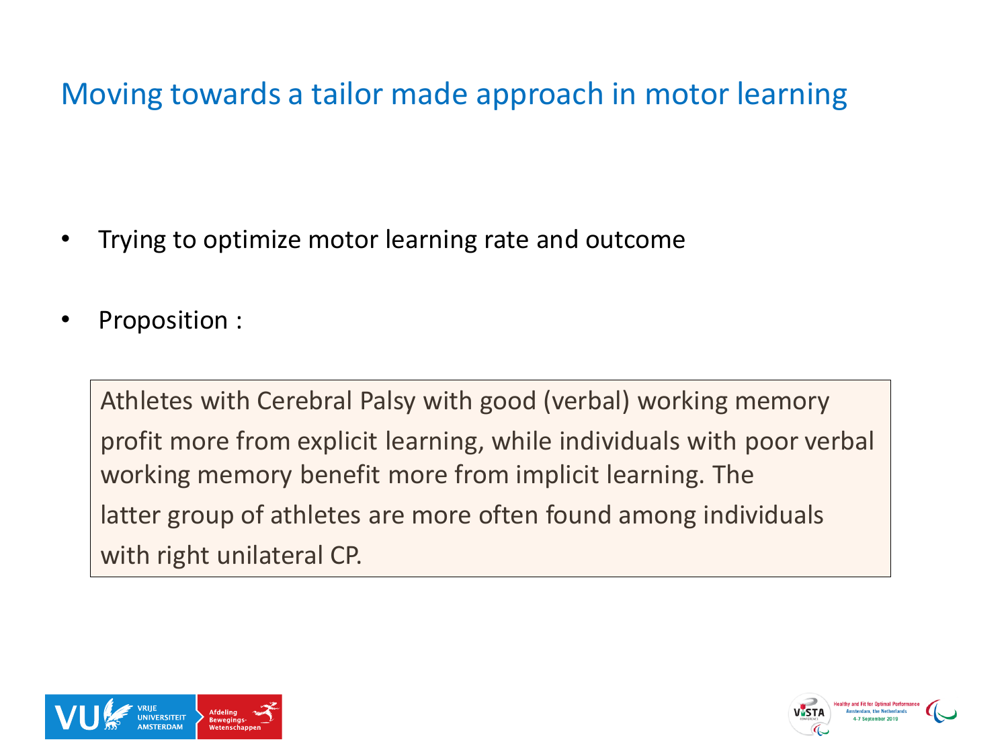### Moving towards a tailor made approach in motor learning

- Trying to optimize motor learning rate and outcome
- Proposition :

Athletes with Cerebral Palsy with good (verbal) working memory profit more from explicit learning, while individuals with poor verbal working memory benefit more from implicit learning. The latter group of athletes are more often found among individuals with right unilateral CP.



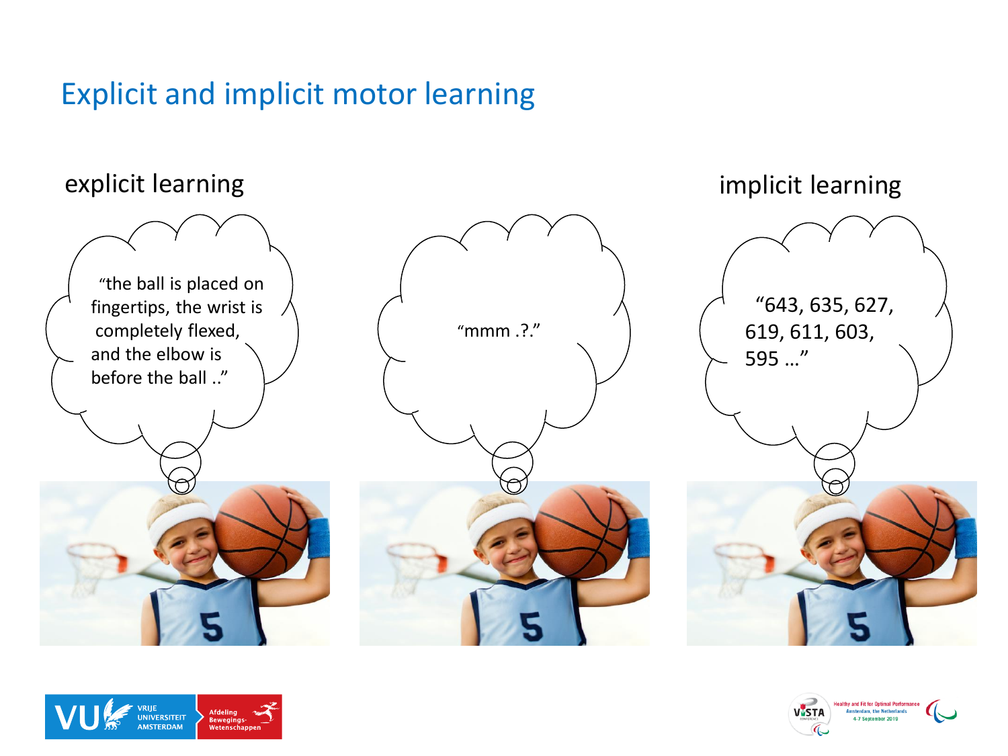#### Explicit and implicit motor learning

#### explicit learning

"the ball is placed on fingertips, the wrist is completely flexed, and the elbow is before the ball .."



"643, 635, 627, 619, 611, 603, 595 …"

implicit learning



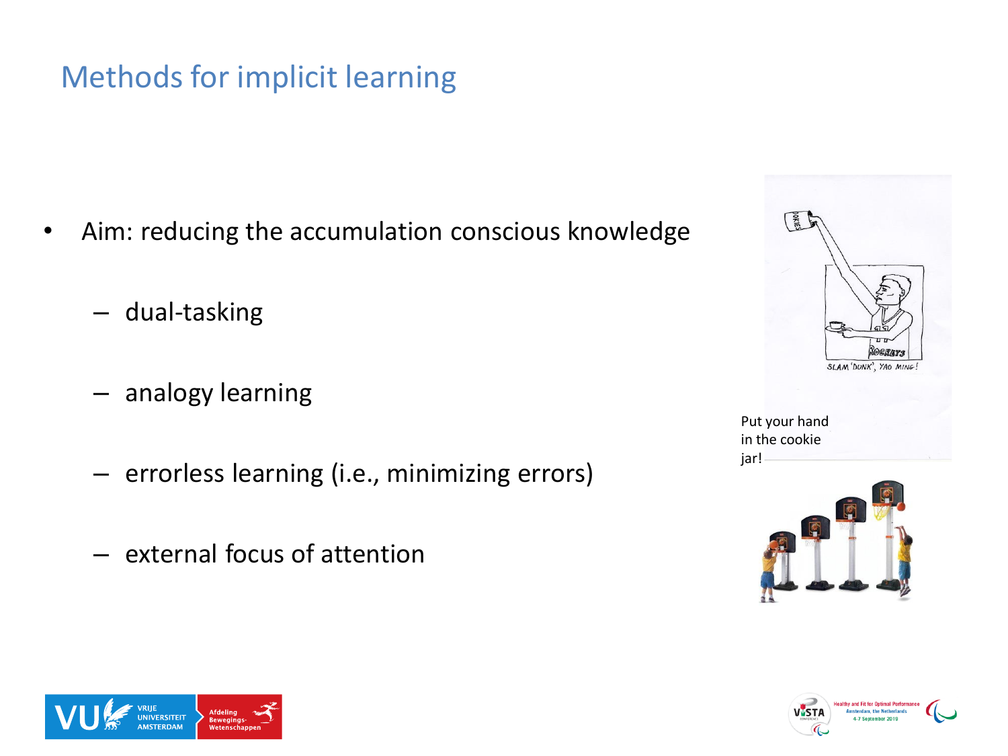## Methods for implicit learning

- Aim: reducing the accumulation conscious knowledge
	- dual-tasking
	- analogy learning
	- errorless learning (i.e., minimizing errors)
	- external focus of attention









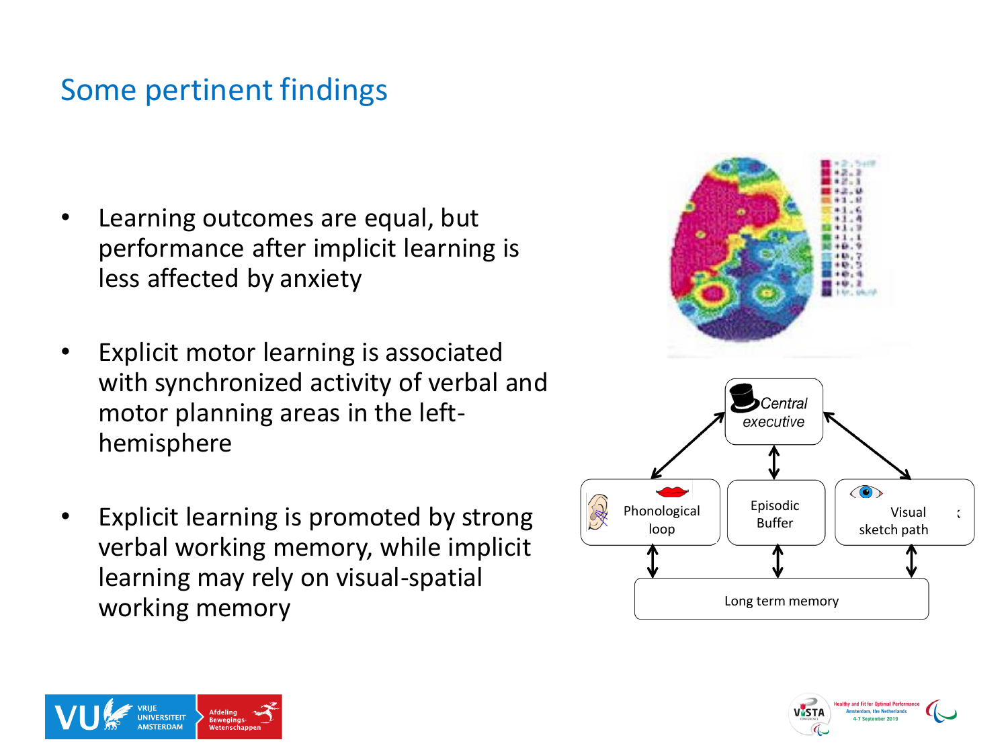#### Some pertinent findings

- Learning outcomes are equal, but performance after implicit learning is less affected by anxiety
- Explicit motor learning is associated with synchronized activity of verbal and motor planning areas in the lefthemisphere
- Explicit learning is promoted by strong verbal working memory, while implicit learning may rely on visual-spatial working memory



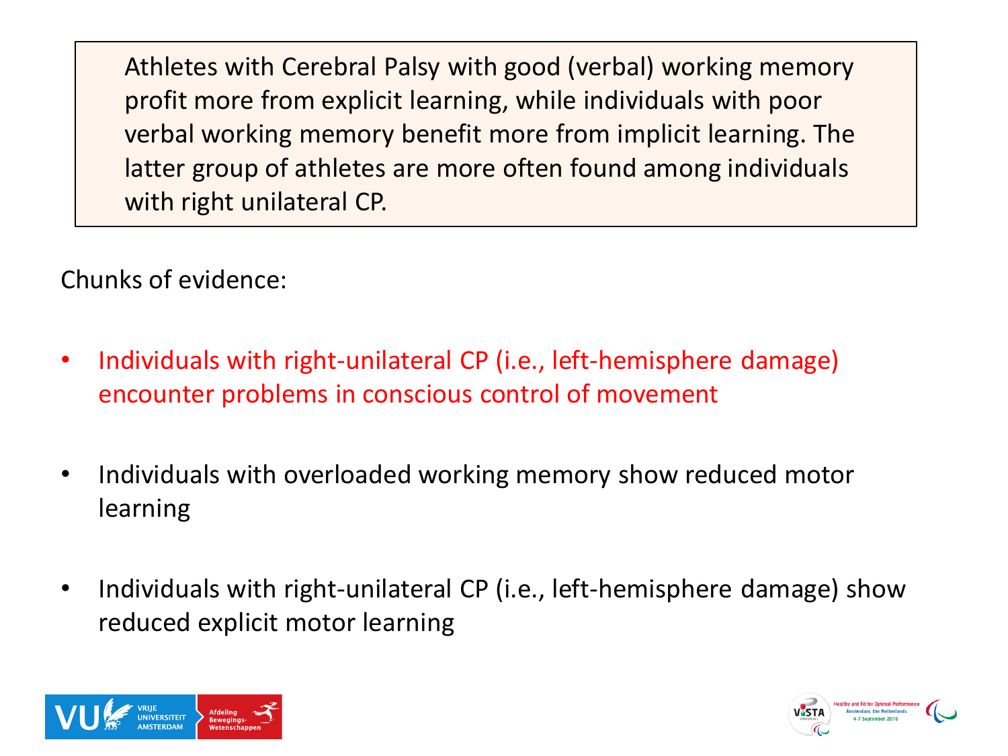Chunks of evidence:

- Individuals with right-unilateral CP (i.e., left-hemisphere damage) encounter problems in conscious control of movement
- Individuals with overloaded working memory show reduced motor learning
- Individuals with right-unilateral CP (i.e., left-hemisphere damage) show reduced explicit motor learning



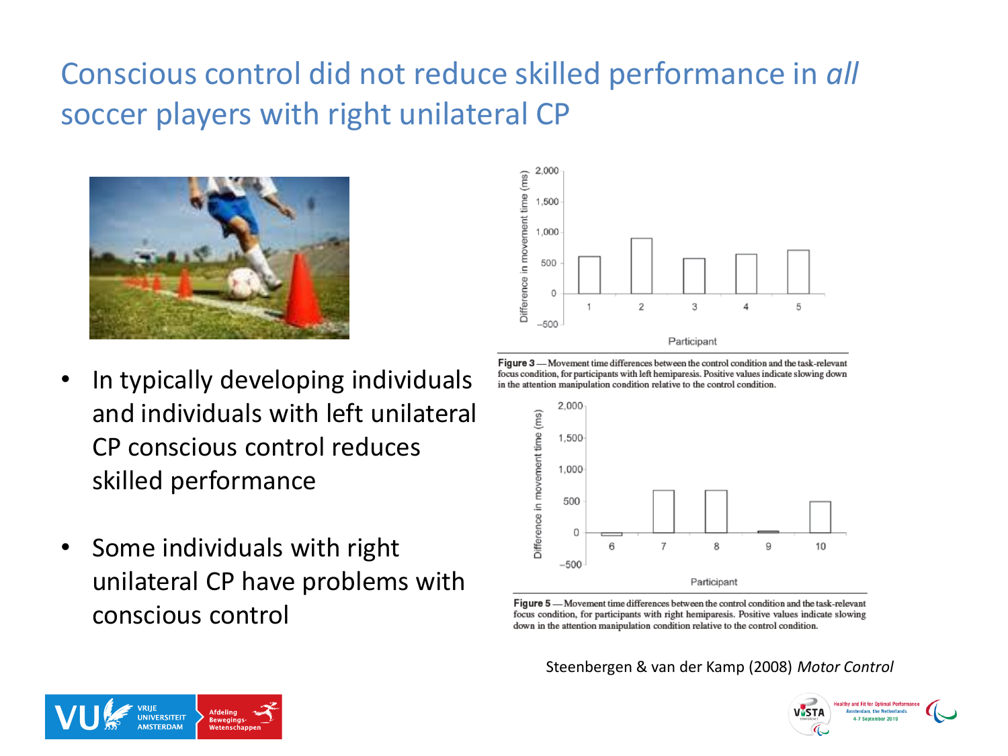# Conscious control did not reduce skilled performance in *all* soccer players with right unilateral CP



- In typically developing individuals and individuals with left unilateral CP conscious control reduces skilled performance
- Some individuals with right unilateral CP have problems with conscious control



Figure 3 - Movement time differences between the control condition and the task-relevant focus condition, for participants with left hemiparesis. Positive values indicate slowing down in the attention manipulation condition relative to the control condition.



Figure 5 - Movement time differences between the control condition and the task-relevant focus condition, for participants with right hemiparesis. Positive values indicate slowing down in the attention manipulation condition relative to the control condition.

Steenbergen & van der Kamp (2008) *Motor Control*



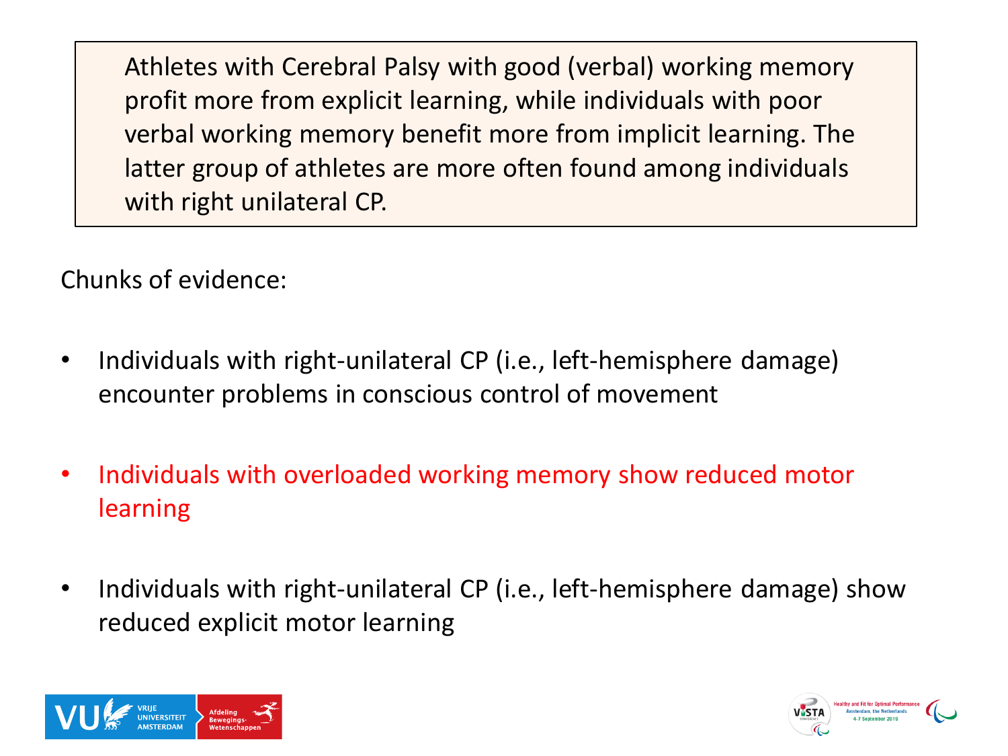Chunks of evidence:

- Individuals with right-unilateral CP (i.e., left-hemisphere damage) encounter problems in conscious control of movement
- Individuals with overloaded working memory show reduced motor learning
- Individuals with right-unilateral CP (i.e., left-hemisphere damage) show reduced explicit motor learning



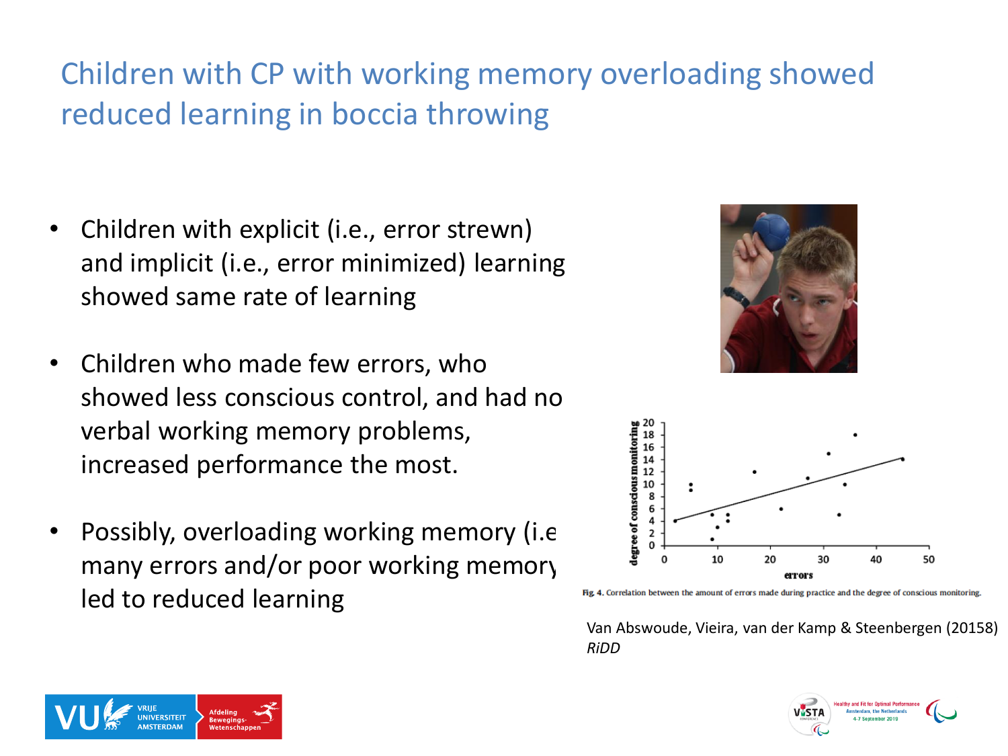# Children with CP with working memory overloading showed reduced learning in boccia throwing

- Children with explicit (i.e., error strewn) and implicit (i.e., error minimized) learning showed same rate of learning
- Children who made few errors, who showed less conscious control, and had no verbal working memory problems, increased performance the most.
- Possibly, overloading working memory (i.e. many errors and/or poor working memory) led to reduced learning





#### Fig. 4. Correlation between the amount of errors made during practice and the degree of conscious monitoring

Van Abswoude, Vieira, van der Kamp & Steenbergen (20158) *RiDD*



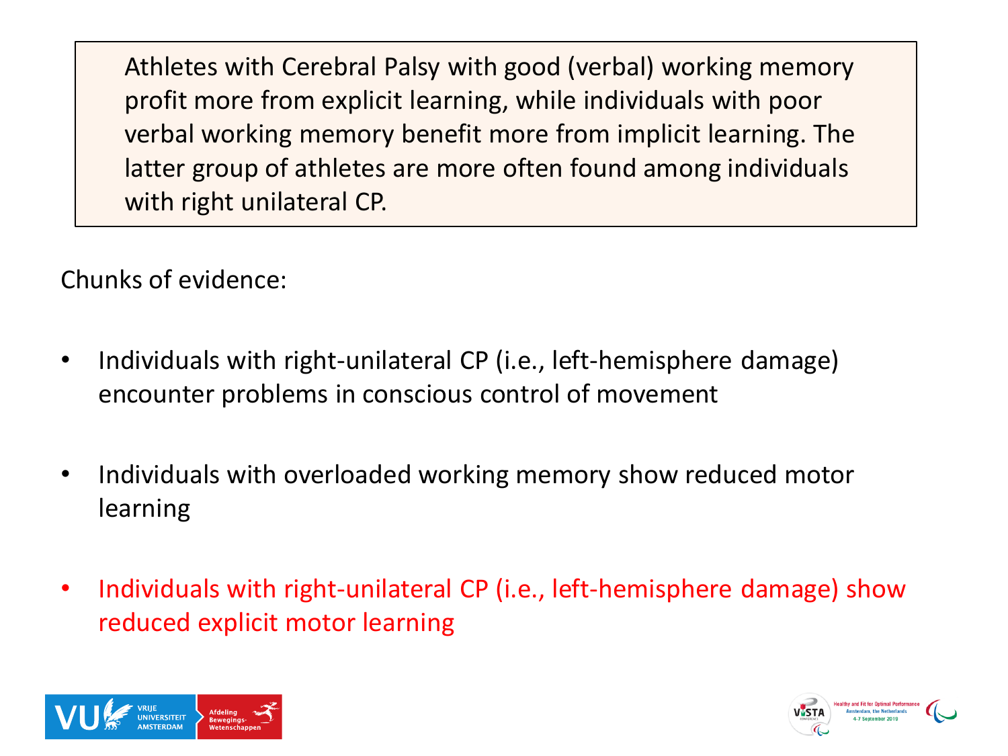Chunks of evidence:

- Individuals with right-unilateral CP (i.e., left-hemisphere damage) encounter problems in conscious control of movement
- Individuals with overloaded working memory show reduced motor learning
- Individuals with right-unilateral CP (i.e., left-hemisphere damage) show reduced explicit motor learning



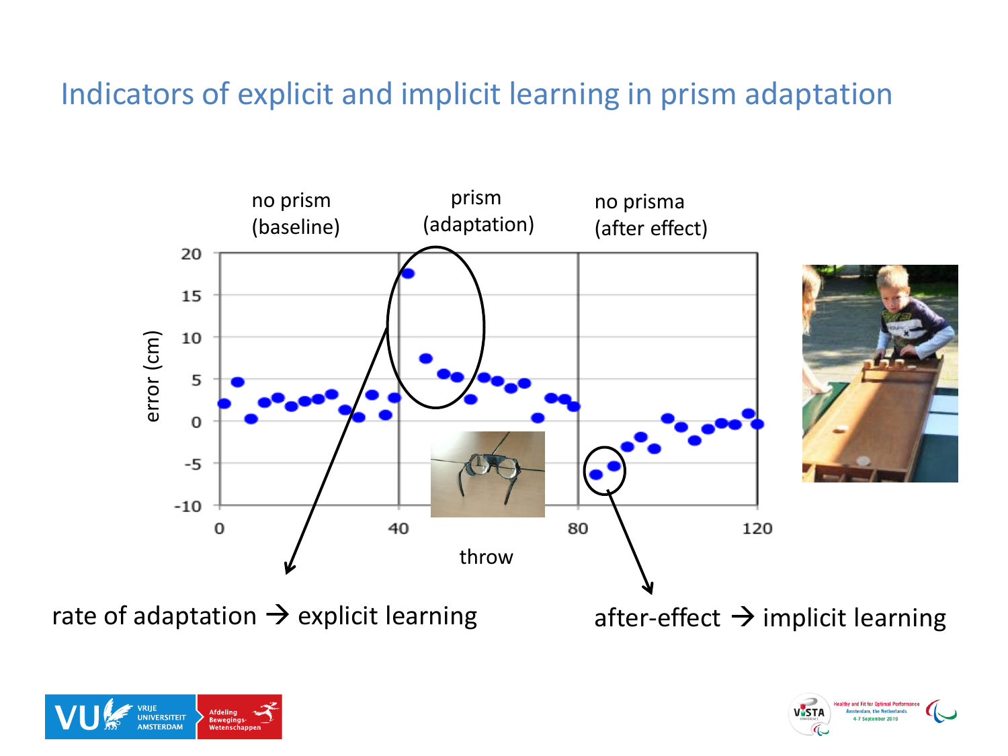#### Indicators of explicit and implicit learning in prism adaptation



rate of adaptation  $\rightarrow$  explicit learning after-effect  $\rightarrow$  implicit learning



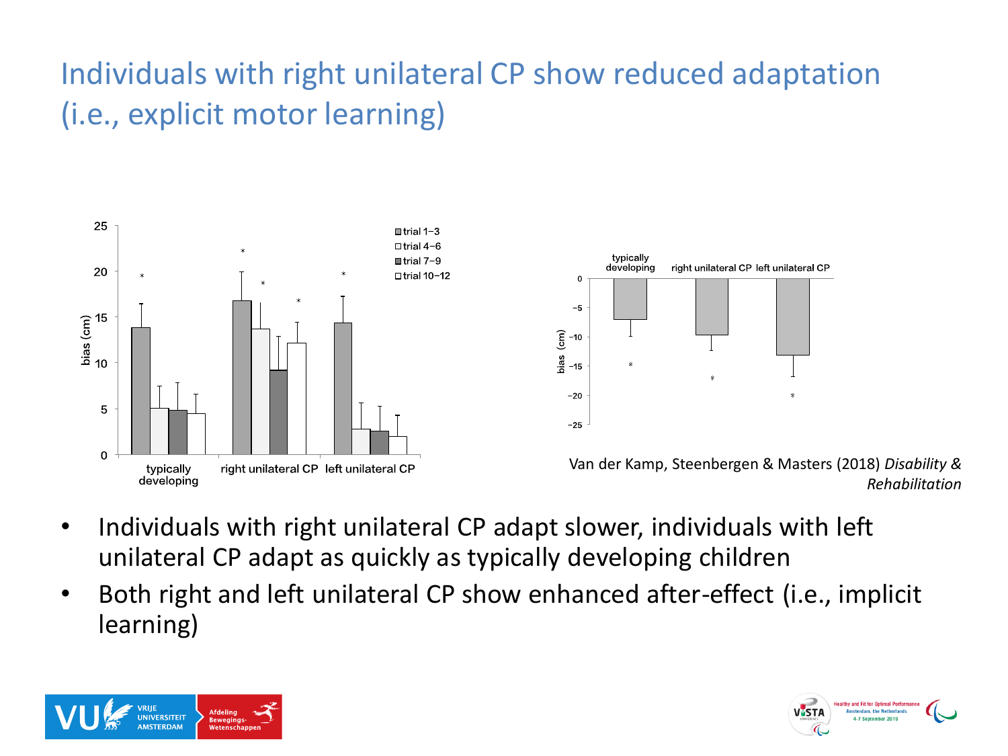# Individuals with right unilateral CP show reduced adaptation (i.e., explicit motor learning)





Van der Kamp, Steenbergen & Masters (2018) *Disability & Rehabilitation*

- Individuals with right unilateral CP adapt slower, individuals with left unilateral CP adapt as quickly as typically developing children
- Both right and left unilateral CP show enhanced after-effect (i.e., implicit learning)